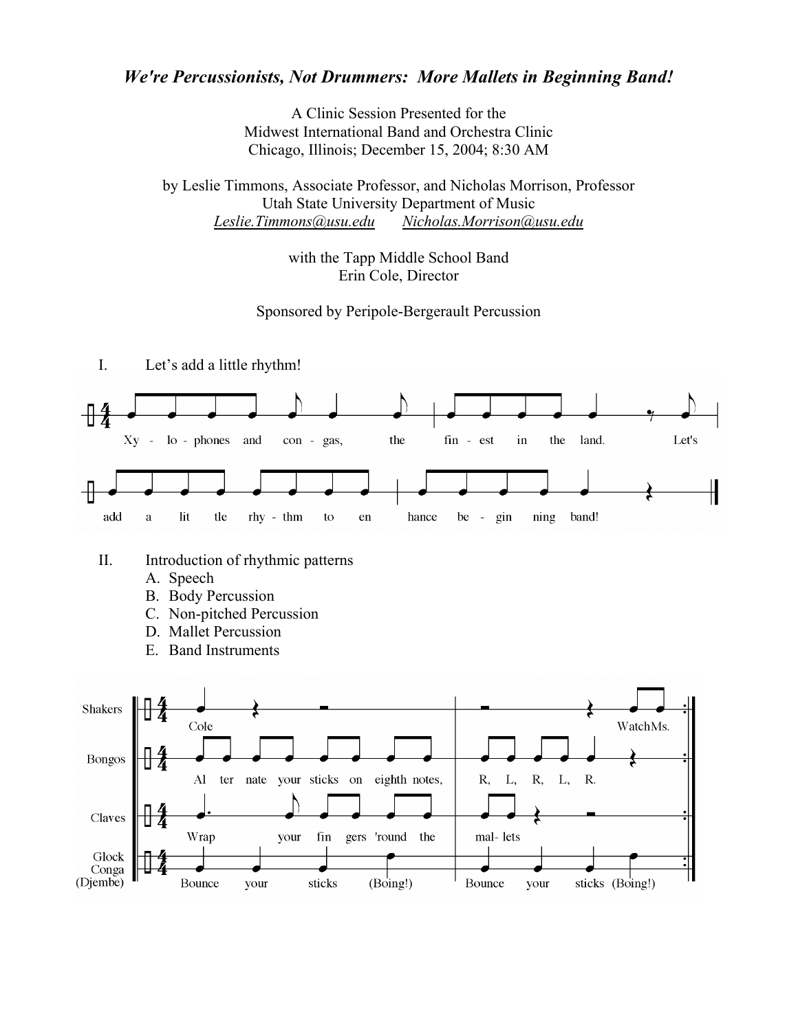## *We're Percussionists, Not Drummers: More Mallets in Beginning Band!*

A Clinic Session Presented for the Midwest International Band and Orchestra Clinic Chicago, Illinois; December 15, 2004; 8:30 AM

by Leslie Timmons, Associate Professor, and Nicholas Morrison, Professor Utah State University Department of Music *Leslie.Timmons@usu.edu Nicholas.Morrison@usu.edu*

> with the Tapp Middle School Band Erin Cole, Director

## Sponsored by Peripole-Bergerault Percussion